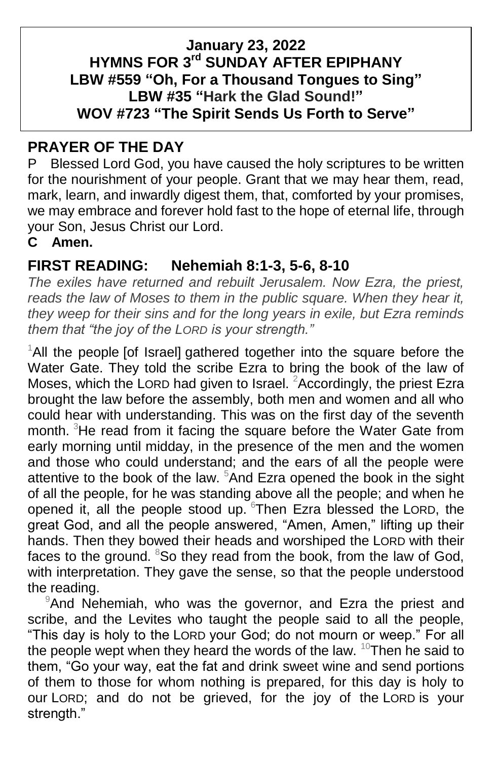#### **January 23, 2022 HYMNS FOR 3 rd SUNDAY AFTER EPIPHANY LBW #559 "Oh, For a Thousand Tongues to Sing" LBW #35 "Hark the Glad Sound!" WOV #723 "The Spirit Sends Us Forth to Serve"**

### **PRAYER OF THE DAY**

P Blessed Lord God, you have caused the holy scriptures to be written for the nourishment of your people. Grant that we may hear them, read, mark, learn, and inwardly digest them, that, comforted by your promises, we may embrace and forever hold fast to the hope of eternal life, through your Son, Jesus Christ our Lord.

### **C Amen.**

## **FIRST READING: Nehemiah 8:1-3, 5-6, 8-10**

*The exiles have returned and rebuilt Jerusalem. Now Ezra, the priest, reads the law of Moses to them in the public square. When they hear it, they weep for their sins and for the long years in exile, but Ezra reminds them that "the joy of the LORD is your strength."*

 $1$ All the people [of Israel] gathered together into the square before the Water Gate. They told the scribe Ezra to bring the book of the law of Moses, which the LORD had given to Israel. <sup>2</sup>Accordingly, the priest Ezra brought the law before the assembly, both men and women and all who could hear with understanding. This was on the first day of the seventh month. <sup>3</sup>He read from it facing the square before the Water Gate from early morning until midday, in the presence of the men and the women and those who could understand; and the ears of all the people were attentive to the book of the law. <sup>5</sup>And Ezra opened the book in the sight of all the people, for he was standing above all the people; and when he opened it, all the people stood up. <sup>6</sup>Then Ezra blessed the LORD, the great God, and all the people answered, "Amen, Amen," lifting up their hands. Then they bowed their heads and worshiped the LORD with their faces to the ground.  $8$ So they read from the book, from the law of God, with interpretation. They gave the sense, so that the people understood the reading.

<sup>9</sup>And Nehemiah, who was the governor, and Ezra the priest and scribe, and the Levites who taught the people said to all the people, "This day is holy to the LORD your God; do not mourn or weep." For all the people wept when they heard the words of the law. <sup>10</sup>Then he said to them, "Go your way, eat the fat and drink sweet wine and send portions of them to those for whom nothing is prepared, for this day is holy to our LORD; and do not be grieved, for the joy of the LORD is your strength."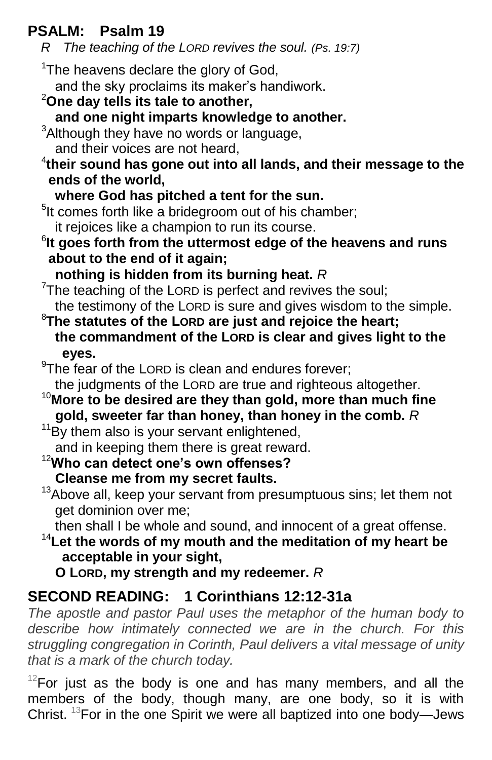## **PSALM: Psalm 19**

*R The teaching of the LORD revives the soul. (Ps. 19:7)*

 $1$ The heavens declare the glory of God. and the sky proclaims its maker's handiwork.

## <sup>2</sup>**One day tells its tale to another,**

**and one night imparts knowledge to another.**

<sup>3</sup>Although they have no words or language.

and their voices are not heard,

- 4 **their sound has gone out into all lands, and their message to the ends of the world,**
	- **where God has pitched a tent for the sun.**

<sup>5</sup>It comes forth like a bridegroom out of his chamber; it rejoices like a champion to run its course.

6 **It goes forth from the uttermost edge of the heavens and runs about to the end of it again;**

**nothing is hidden from its burning heat.** *R*

 $7$ The teaching of the LORD is perfect and revives the soul; the testimony of the LORD is sure and gives wisdom to the simple.

<sup>8</sup>**The statutes of the LORD are just and rejoice the heart; the commandment of the LORD is clear and gives light to the eyes.**

 $9$ The fear of the LORD is clean and endures forever;

the judgments of the LORD are true and righteous altogether.

<sup>10</sup>**More to be desired are they than gold, more than much fine gold, sweeter far than honey, than honey in the comb.** *R*

 $11By$  them also is your servant enlightened, and in keeping them there is great reward.

- <sup>12</sup>**Who can detect one's own offenses? Cleanse me from my secret faults.**
- $13A$ bove all, keep your servant from presumptuous sins; let them not get dominion over me;

then shall I be whole and sound, and innocent of a great offense.

<sup>14</sup>**Let the words of my mouth and the meditation of my heart be acceptable in your sight,**

 **O LORD, my strength and my redeemer.** *R*

# **SECOND READING: 1 Corinthians 12:12-31a**

*The apostle and pastor Paul uses the metaphor of the human body to describe how intimately connected we are in the church. For this struggling congregation in Corinth, Paul delivers a vital message of unity that is a mark of the church today.*

 $12$ For just as the body is one and has many members, and all the members of the body, though many, are one body, so it is with Christ. <sup>13</sup>For in the one Spirit we were all baptized into one body—Jews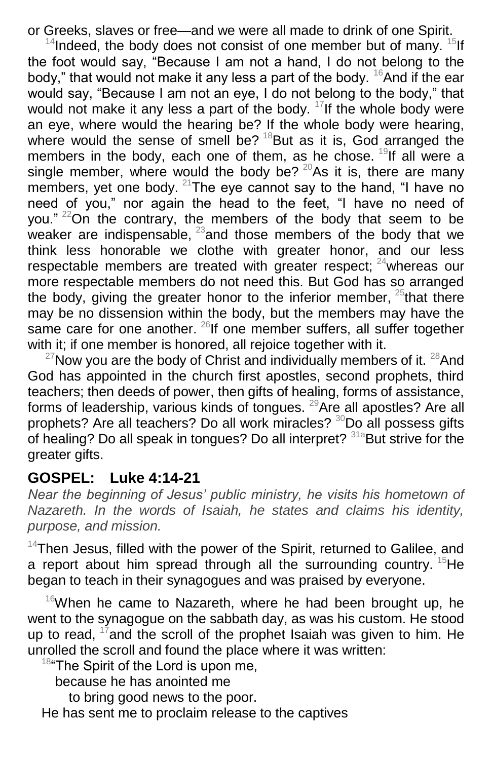or Greeks, slaves or free—and we were all made to drink of one Spirit.

 $14$ Indeed, the body does not consist of one member but of many.  $15$ If the foot would say, "Because I am not a hand, I do not belong to the body," that would not make it any less a part of the body. <sup>16</sup>And if the ear would say, "Because I am not an eye, I do not belong to the body," that would not make it any less a part of the body.  $17$  If the whole body were an eye, where would the hearing be? If the whole body were hearing, where would the sense of smell be?  $18$ But as it is, God arranged the members in the body, each one of them, as he chose. <sup>19</sup>If all were a single member, where would the body be?  $20A$ s it is, there are many members, yet one body.  $21$ The eye cannot say to the hand, "I have no need of you," nor again the head to the feet, "I have no need of you."  $22$ On the contrary, the members of the body that seem to be weaker are indispensable,  $23$  and those members of the body that we think less honorable we clothe with greater honor, and our less respectable members are treated with greater respect; <sup>24</sup>whereas our more respectable members do not need this. But God has so arranged the body, giving the greater honor to the inferior member,  $25$  that there may be no dissension within the body, but the members may have the same care for one another.  $^{26}$ If one member suffers, all suffer together with it; if one member is honored, all rejoice together with it.

 $27$ Now you are the body of Christ and individually members of it.  $28$ And God has appointed in the church first apostles, second prophets, third teachers; then deeds of power, then gifts of healing, forms of assistance, forms of leadership, various kinds of tongues. <sup>29</sup>Are all apostles? Are all prophets? Are all teachers? Do all work miracles? <sup>30</sup>Do all possess gifts of healing? Do all speak in tongues? Do all interpret?  $31a$ But strive for the greater gifts.

#### **GOSPEL: Luke 4:14-21**

*Near the beginning of Jesus' public ministry, he visits his hometown of Nazareth. In the words of Isaiah, he states and claims his identity, purpose, and mission.*

 $14$ Then Jesus, filled with the power of the Spirit, returned to Galilee, and a report about him spread through all the surrounding country.  $15$ He began to teach in their synagogues and was praised by everyone.

 $16$ When he came to Nazareth, where he had been brought up, he went to the synagogue on the sabbath day, as was his custom. He stood up to read,  $17$  and the scroll of the prophet Isaiah was given to him. He unrolled the scroll and found the place where it was written:

<sup>18</sup>"The Spirit of the Lord is upon me,

because he has anointed me

to bring good news to the poor.

He has sent me to proclaim release to the captives